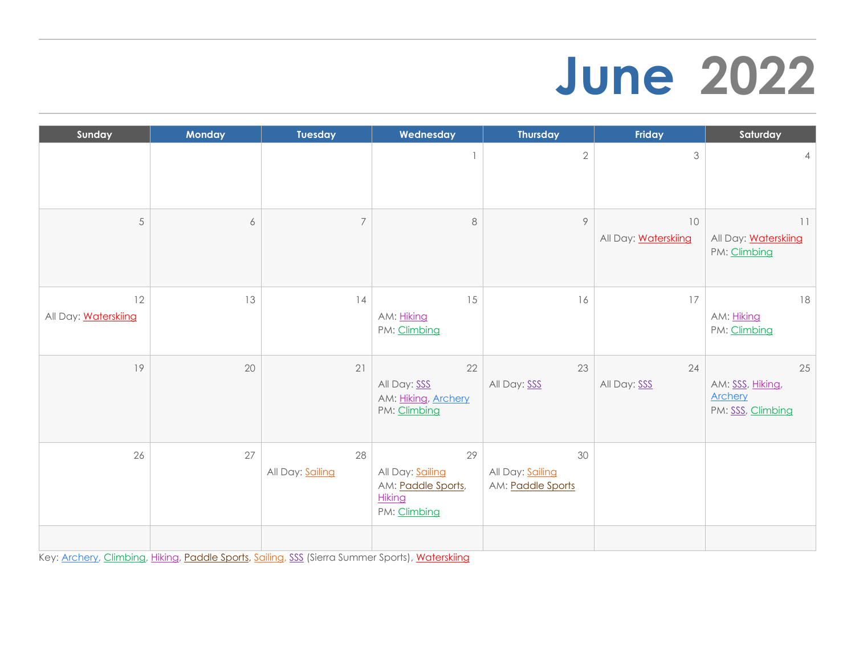### **June 2022**

| Sunday                            | <b>Monday</b>    | <b>Tuesday</b>         | Wednesday                                                              | <b>Thursday</b>                             | Friday                            | Saturday                                                      |
|-----------------------------------|------------------|------------------------|------------------------------------------------------------------------|---------------------------------------------|-----------------------------------|---------------------------------------------------------------|
|                                   |                  |                        |                                                                        | $\sqrt{2}$                                  | 3                                 | $\overline{4}$                                                |
| 5                                 | $\boldsymbol{6}$ | $\overline{7}$         | $\,8\,$                                                                | 9                                           | 10<br>All Day: <b>Waterskiing</b> | 11<br>All Day: <b>Waterskiing</b><br>PM: Climbing             |
| 12<br>All Day: <b>Waterskiing</b> | 13               | 14                     | 15<br>AM: Hiking<br>PM: Climbing                                       | 16                                          | 17                                | 18<br>AM: Hiking<br>PM: Climbing                              |
| 19                                | 20               | 21                     | 22<br>All Day: SSS<br>AM: Hiking, Archery<br>PM: Climbing              | 23<br>All Day: SSS                          | 24<br>All Day: SSS                | 25<br>AM: SSS, Hiking,<br><b>Archery</b><br>PM: SSS, Climbing |
| 26                                | 27               | 28<br>All Day: Sailing | 29<br>All Day: Sailing<br>AM: Paddle Sports,<br>Hiking<br>PM: Climbing | 30<br>All Day: Sailing<br>AM: Paddle Sports |                                   |                                                               |
|                                   |                  |                        |                                                                        |                                             |                                   |                                                               |

Key: [Archery,](https://www.achievetahoe.org/participate/activities/archery/) [Climbing,](https://www.achievetahoe.org/participate/activities/climbing/) [Hiking,](https://www.achievetahoe.org/participate/activities/hiking/) [Paddle Sports,](https://www.achievetahoe.org/participate/activities/tahoe-paddle-sports/) [Sailing,](https://www.achievetahoe.org/participate/activities/sailing/) [SSS](https://www.achievetahoe.org/participate/activities/sierra-summer-sports/) (Sierra Summer Sports), [Waterskiing](https://www.achievetahoe.org/participate/activities/water-ski/)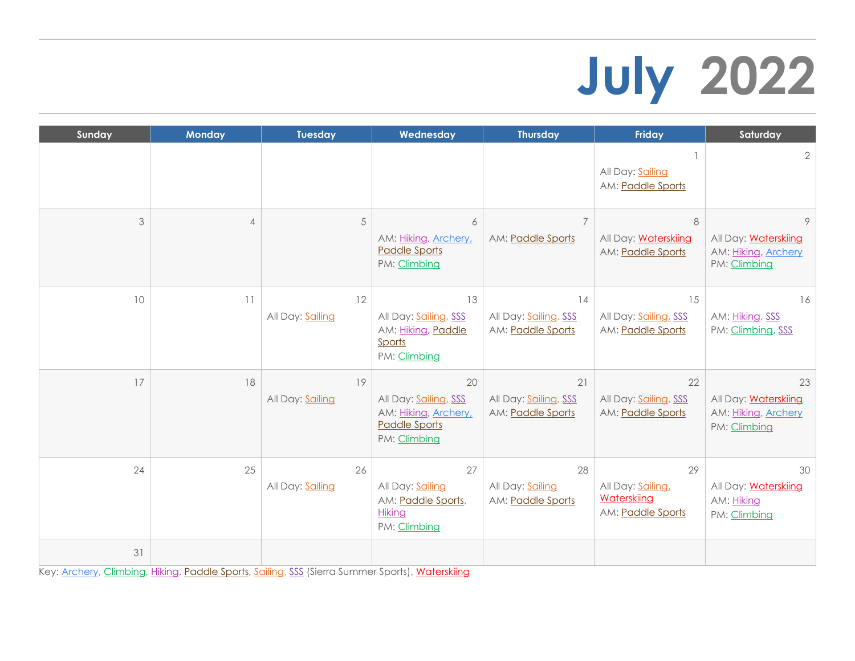# **July 2022**

| Sunday | <b>Monday</b>  | <b>Tuesday</b>         | Wednesday                                                                                   | <b>Thursday</b>                                  | <b>Friday</b>                                              | Saturday                                                          |
|--------|----------------|------------------------|---------------------------------------------------------------------------------------------|--------------------------------------------------|------------------------------------------------------------|-------------------------------------------------------------------|
|        |                |                        |                                                                                             |                                                  | All Day: Sailing<br>AM: Paddle Sports                      | $\overline{2}$                                                    |
| 3      | $\overline{4}$ | 5                      | 6<br>AM: Hiking, Archery,<br><b>Paddle Sports</b><br>PM: Climbing                           | 7<br>AM: Paddle Sports                           | 8<br>All Day: Waterskiing<br>AM: Paddle Sports             | 9<br>All Day: Waterskiing<br>AM: Hiking, Archery<br>PM: Climbing  |
| 10     | 11             | 12<br>All Day: Sailing | 13<br>All Day: Sailing, SSS<br>AM: Hiking, Paddle<br>Sports<br>PM: Climbing                 | 14<br>All Day: Sailing, SSS<br>AM: Paddle Sports | 15<br>All Day: Sailing, SSS<br>AM: Paddle Sports           | 16<br>AM: Hiking, SSS<br>PM: Climbing, SSS                        |
| 17     | 18             | 19<br>All Day: Sailing | 20<br>All Day: Sailing, SSS<br>AM: Hiking, Archery,<br><b>Paddle Sports</b><br>PM: Climbing | 21<br>All Day: Sailing, SSS<br>AM: Paddle Sports | 22<br>All Day: Sailing, SSS<br>AM: Paddle Sports           | 23<br>All Day: Waterskiing<br>AM: Hiking, Archery<br>PM: Climbing |
| 24     | 25             | 26<br>All Day: Sailing | 27<br>All Day: Sailing<br>AM: Paddle Sports,<br>Hiking<br>PM: Climbing                      | 28<br>All Day: Sailing<br>AM: Paddle Sports      | 29<br>All Day: Sailing<br>Waterskiing<br>AM: Paddle Sports | 30<br>All Day: Waterskiing<br>AM: Hiking<br>PM: Climbing          |
| 31     |                |                        |                                                                                             |                                                  |                                                            |                                                                   |

Key: [Archery,](https://www.achievetahoe.org/participate/activities/archery/) [Climbing,](https://www.achievetahoe.org/participate/activities/climbing/) [Hiking,](https://www.achievetahoe.org/participate/activities/hiking/) [Paddle Sports,](https://www.achievetahoe.org/participate/activities/tahoe-paddle-sports/) [Sailing,](https://www.achievetahoe.org/participate/activities/sailing/) [SSS](https://www.achievetahoe.org/participate/activities/sierra-summer-sports/) (Sierra Summer Sports), [Waterskiing](https://www.achievetahoe.org/participate/activities/water-ski/)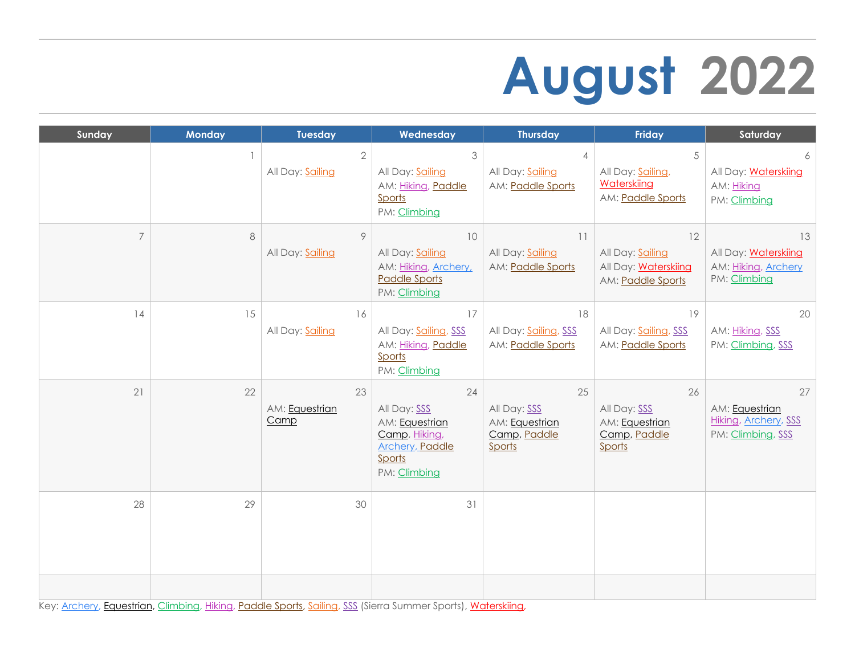# **August 2022**

| Sunday         | <b>Monday</b>            | <b>Tuesday</b>                     | Wednesday                                                                                                         | <b>Thursday</b>                                                | Friday                                                                     | Saturday                                                                 |
|----------------|--------------------------|------------------------------------|-------------------------------------------------------------------------------------------------------------------|----------------------------------------------------------------|----------------------------------------------------------------------------|--------------------------------------------------------------------------|
|                | $\overline{\phantom{a}}$ | $\overline{2}$<br>All Day: Sailing | 3<br>All Day: Sailing<br>AM: Hiking, Paddle<br>Sports<br>PM: Climbing                                             | $\overline{4}$<br>All Day: Sailing<br>AM: Paddle Sports        | 5<br>All Day: Sailing,<br>Waterskiing<br>AM: Paddle Sports                 | 6<br>All Day: Waterskiing<br>AM: Hiking<br>PM: Climbing                  |
| $\overline{7}$ | $\,8\,$                  | 9<br>All Day: Sailing              | 10<br>All Day: Sailing<br>AM: Hiking, Archery,<br><b>Paddle Sports</b><br>PM: Climbing                            | 11<br>All Day: Sailing<br>AM: Paddle Sports                    | 12<br>All Day: Sailing<br>All Day: <b>Waterskiing</b><br>AM: Paddle Sports | 13<br>All Day: <b>Waterskiing</b><br>AM: Hiking, Archery<br>PM: Climbing |
| 14             | 15                       | 16<br>All Day: Sailing             | 17<br>All Day: Sailing, SSS<br>AM: Hiking, Paddle<br>Sports<br>PM: Climbing                                       | 18<br>All Day: Sailing, SSS<br>AM: Paddle Sports               | 19<br>All Day: Sailing, SSS<br>AM: Paddle Sports                           | 20<br>AM: Hiking, SSS<br>PM: Climbing, SSS                               |
| 21             | 22                       | 23<br>AM: Equestrian<br>Camp       | 24<br>All Day: SSS<br>AM: Equestrian<br>Camp, Hiking,<br><b>Archery</b> , <b>Paddle</b><br>Sports<br>PM: Climbing | 25<br>All Day: SSS<br>AM: Equestrian<br>Camp, Paddle<br>Sports | 26<br>All Day: SSS<br>AM: Equestrian<br>Camp, Paddle<br>Sports             | 27<br>AM: Equestrian<br>Hiking, Archery, SSS<br>PM: Climbing, SSS        |
| 28             | 29                       | 30                                 | 31                                                                                                                |                                                                |                                                                            |                                                                          |
|                |                          |                                    |                                                                                                                   |                                                                |                                                                            |                                                                          |

Key: [Archery,](https://www.achievetahoe.org/participate/activities/archery/) [Equestrian,](https://www.achievetahoe.org/participate/activities/equestrian/) [Climbing,](https://www.achievetahoe.org/participate/activities/climbing/) [Hiking,](https://www.achievetahoe.org/participate/activities/hiking/) [Paddle Sports,](https://www.achievetahoe.org/participate/activities/tahoe-paddle-sports/) [Sailing,](https://www.achievetahoe.org/participate/activities/sailing/) [SSS](https://www.achievetahoe.org/participate/activities/sierra-summer-sports/) (Sierra Summer Sports), [Waterskiing,](https://www.achievetahoe.org/participate/activities/water-ski/)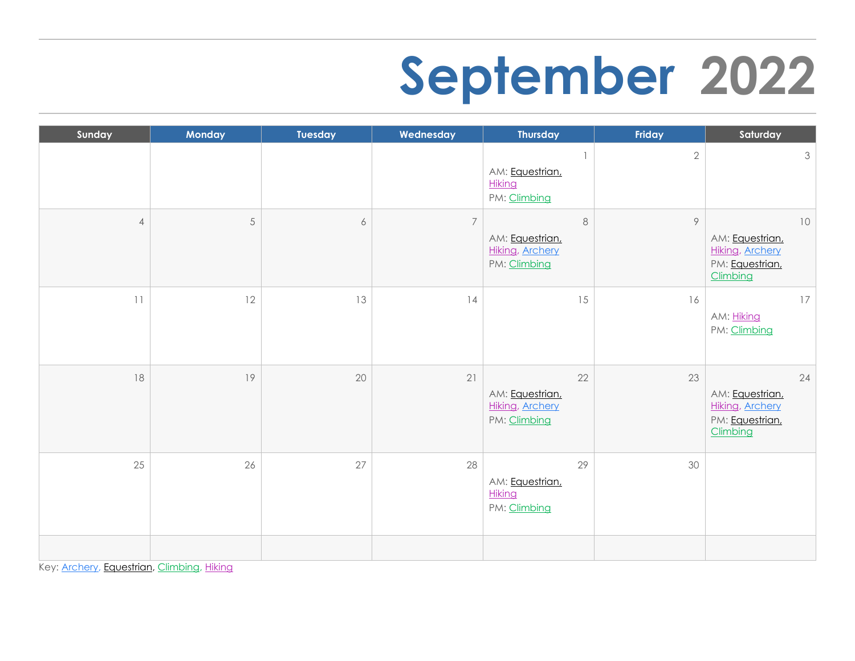### **September 2022**

| Sunday         | Monday     | Tuesday          | Wednesday      | <b>Thursday</b>                                                      | Friday     | Saturday                                                                         |
|----------------|------------|------------------|----------------|----------------------------------------------------------------------|------------|----------------------------------------------------------------------------------|
|                |            |                  |                | AM: Equestrian,<br><b>Hiking</b><br>PM: Climbing                     | $\sqrt{2}$ | $\mathfrak{Z}$                                                                   |
| $\overline{4}$ | $\sqrt{5}$ | $\acute{\rm{o}}$ | $\overline{7}$ | $\,8\,$<br>AM: Equestrian,<br><b>Hiking, Archery</b><br>PM: Climbing | 9          | $10$<br>AM: Equestrian,<br><b>Hiking, Archery</b><br>PM: Equestrian,<br>Climbing |
| 11             | 12         | 13               | 4              | 15                                                                   | 16         | 17<br>AM: Hiking<br>PM: Climbing                                                 |
| 18             | 19         | 20               | 21             | 22<br>AM: Equestrian,<br><b>Hiking, Archery</b><br>PM: Climbing      | 23         | 24<br>AM: Equestrian,<br><b>Hiking, Archery</b><br>PM: Equestrian,<br>Climbing   |
| 25             | 26         | 27               | 28             | 29<br>AM: Equestrian,<br>Hiking<br>PM: Climbing                      | 30         |                                                                                  |
|                |            |                  |                |                                                                      |            |                                                                                  |

Key: [Archery,](https://www.achievetahoe.org/participate/activities/archery/) [Equestrian,](https://www.achievetahoe.org/participate/activities/equestrian/) [Climbing,](https://www.achievetahoe.org/participate/activities/climbing/) [Hiking](https://www.achievetahoe.org/participate/activities/hiking/)